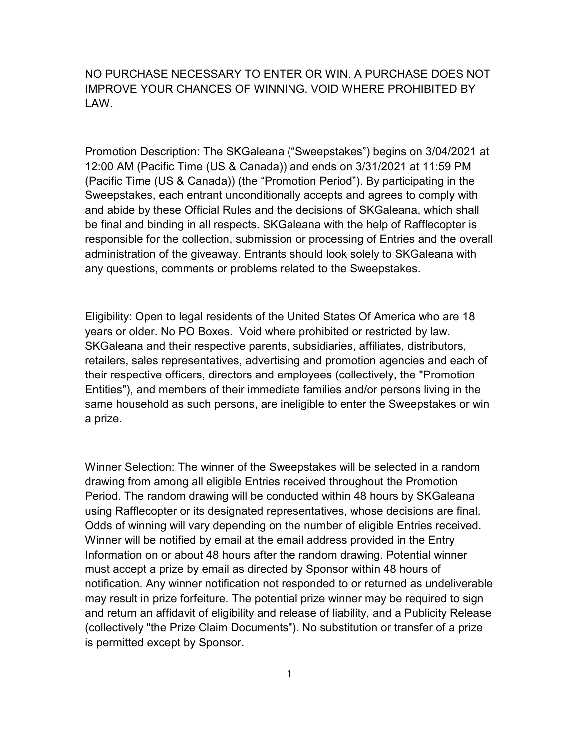NO PURCHASE NECESSARY TO ENTER OR WIN. A PURCHASE DOES NOT IMPROVE YOUR CHANCES OF WINNING. VOID WHERE PROHIBITED BY LAW.

Promotion Description: The SKGaleana ("Sweepstakes") begins on 3/04/2021 at 12:00 AM (Pacific Time (US & Canada)) and ends on 3/31/2021 at 11:59 PM (Pacific Time (US & Canada)) (the "Promotion Period"). By participating in the Sweepstakes, each entrant unconditionally accepts and agrees to comply with and abide by these Official Rules and the decisions of SKGaleana, which shall be final and binding in all respects. SKGaleana with the help of Rafflecopter is responsible for the collection, submission or processing of Entries and the overall administration of the giveaway. Entrants should look solely to SKGaleana with any questions, comments or problems related to the Sweepstakes.

Eligibility: Open to legal residents of the United States Of America who are 18 years or older. No PO Boxes. Void where prohibited or restricted by law. SKGaleana and their respective parents, subsidiaries, affiliates, distributors, retailers, sales representatives, advertising and promotion agencies and each of their respective officers, directors and employees (collectively, the "Promotion Entities"), and members of their immediate families and/or persons living in the same household as such persons, are ineligible to enter the Sweepstakes or win a prize.

Winner Selection: The winner of the Sweepstakes will be selected in a random drawing from among all eligible Entries received throughout the Promotion Period. The random drawing will be conducted within 48 hours by SKGaleana using Rafflecopter or its designated representatives, whose decisions are final. Odds of winning will vary depending on the number of eligible Entries received. Winner will be notified by email at the email address provided in the Entry Information on or about 48 hours after the random drawing. Potential winner must accept a prize by email as directed by Sponsor within 48 hours of notification. Any winner notification not responded to or returned as undeliverable may result in prize forfeiture. The potential prize winner may be required to sign and return an affidavit of eligibility and release of liability, and a Publicity Release (collectively "the Prize Claim Documents"). No substitution or transfer of a prize is permitted except by Sponsor.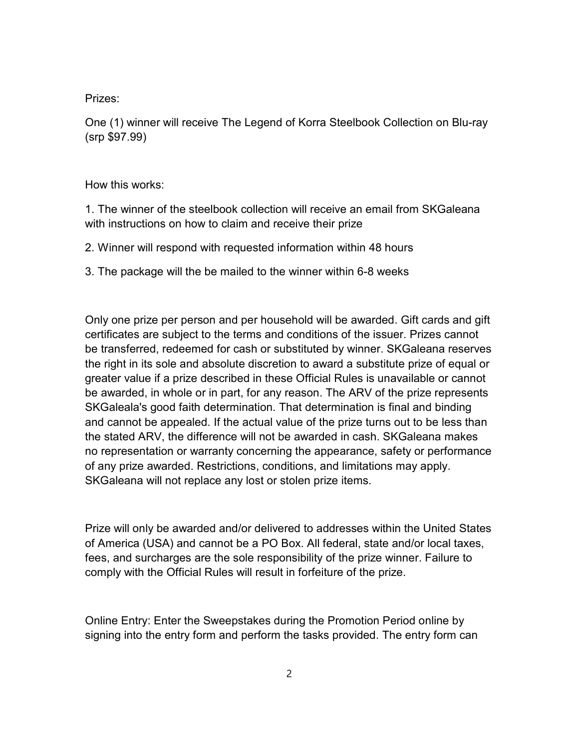Prizes:

One (1) winner will receive The Legend of Korra Steelbook Collection on Blu-ray (srp \$97.99)

How this works:

1. The winner of the steelbook collection will receive an email from SKGaleana with instructions on how to claim and receive their prize

2. Winner will respond with requested information within 48 hours

3. The package will the be mailed to the winner within 6-8 weeks

Only one prize per person and per household will be awarded. Gift cards and gift certificates are subject to the terms and conditions of the issuer. Prizes cannot be transferred, redeemed for cash or substituted by winner. SKGaleana reserves the right in its sole and absolute discretion to award a substitute prize of equal or greater value if a prize described in these Official Rules is unavailable or cannot be awarded, in whole or in part, for any reason. The ARV of the prize represents SKGaleala's good faith determination. That determination is final and binding and cannot be appealed. If the actual value of the prize turns out to be less than the stated ARV, the difference will not be awarded in cash. SKGaleana makes no representation or warranty concerning the appearance, safety or performance of any prize awarded. Restrictions, conditions, and limitations may apply. SKGaleana will not replace any lost or stolen prize items.

Prize will only be awarded and/or delivered to addresses within the United States of America (USA) and cannot be a PO Box. All federal, state and/or local taxes, fees, and surcharges are the sole responsibility of the prize winner. Failure to comply with the Official Rules will result in forfeiture of the prize.

Online Entry: Enter the Sweepstakes during the Promotion Period online by signing into the entry form and perform the tasks provided. The entry form can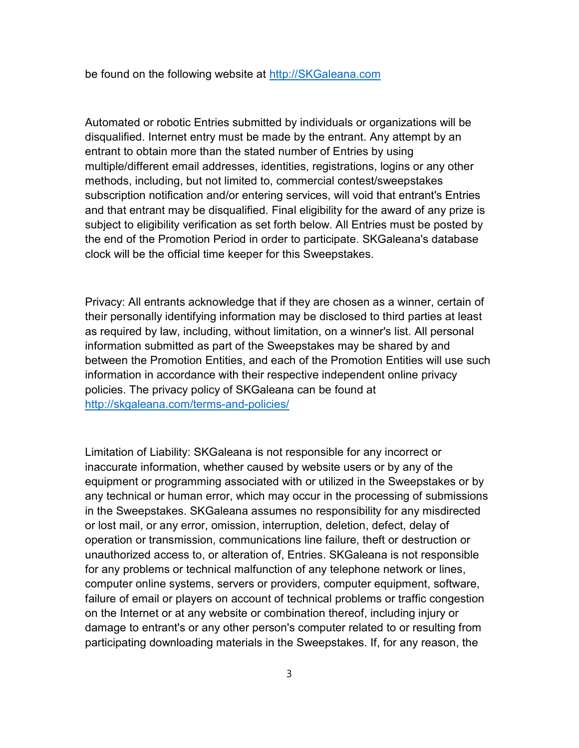be found on the following website at http://SKGaleana.com

Automated or robotic Entries submitted by individuals or organizations will be disqualified. Internet entry must be made by the entrant. Any attempt by an entrant to obtain more than the stated number of Entries by using multiple/different email addresses, identities, registrations, logins or any other methods, including, but not limited to, commercial contest/sweepstakes subscription notification and/or entering services, will void that entrant's Entries and that entrant may be disqualified. Final eligibility for the award of any prize is subject to eligibility verification as set forth below. All Entries must be posted by the end of the Promotion Period in order to participate. SKGaleana's database clock will be the official time keeper for this Sweepstakes.

Privacy: All entrants acknowledge that if they are chosen as a winner, certain of their personally identifying information may be disclosed to third parties at least as required by law, including, without limitation, on a winner's list. All personal information submitted as part of the Sweepstakes may be shared by and between the Promotion Entities, and each of the Promotion Entities will use such information in accordance with their respective independent online privacy policies. The privacy policy of SKGaleana can be found at http://skgaleana.com/terms-and-policies/

Limitation of Liability: SKGaleana is not responsible for any incorrect or inaccurate information, whether caused by website users or by any of the equipment or programming associated with or utilized in the Sweepstakes or by any technical or human error, which may occur in the processing of submissions in the Sweepstakes. SKGaleana assumes no responsibility for any misdirected or lost mail, or any error, omission, interruption, deletion, defect, delay of operation or transmission, communications line failure, theft or destruction or unauthorized access to, or alteration of, Entries. SKGaleana is not responsible for any problems or technical malfunction of any telephone network or lines, computer online systems, servers or providers, computer equipment, software, failure of email or players on account of technical problems or traffic congestion on the Internet or at any website or combination thereof, including injury or damage to entrant's or any other person's computer related to or resulting from participating downloading materials in the Sweepstakes. If, for any reason, the